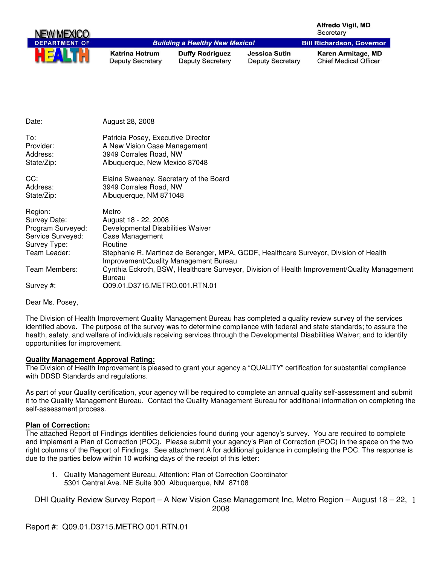| <b>NEW MEXICO</b>    |                                                  |                                                   |                                                 | Alfredo Vigil, MD<br>Secretary                     |
|----------------------|--------------------------------------------------|---------------------------------------------------|-------------------------------------------------|----------------------------------------------------|
| <b>DEPARTMENT OF</b> |                                                  | <b>Building a Healthy New Mexico!</b>             |                                                 | <b>Bill Richardson, Governor</b>                   |
| HEALTH               | <b>Katrina Hotrum</b><br><b>Deputy Secretary</b> | <b>Duffy Rodriguez</b><br><b>Deputy Secretary</b> | <b>Jessica Sutin</b><br><b>Deputy Secretary</b> | Karen Armitage, MD<br><b>Chief Medical Officer</b> |

| Date:                                                                                             | August 28, 2008                                                                                                                                                                                                                    |
|---------------------------------------------------------------------------------------------------|------------------------------------------------------------------------------------------------------------------------------------------------------------------------------------------------------------------------------------|
| To:<br>Provider:<br>Address:<br>State/Zip:                                                        | Patricia Posey, Executive Director<br>A New Vision Case Management<br>3949 Corrales Road, NW<br>Albuquerque, New Mexico 87048                                                                                                      |
| CC:<br>Address:<br>State/Zip:                                                                     | Elaine Sweeney, Secretary of the Board<br>3949 Corrales Road, NW<br>Albuquerque, NM 871048                                                                                                                                         |
| Region:<br>Survey Date:<br>Program Surveyed:<br>Service Surveyed:<br>Survey Type:<br>Team Leader: | Metro<br>August 18 - 22, 2008<br>Developmental Disabilities Waiver<br>Case Management<br>Routine<br>Stephanie R. Martinez de Berenger, MPA, GCDF, Healthcare Surveyor, Division of Health<br>Improvement/Quality Management Bureau |
| Team Members:<br>Survey #:                                                                        | Cynthia Eckroth, BSW, Healthcare Surveyor, Division of Health Improvement/Quality Management<br>Bureau<br>Q09.01.D3715.METRO.001.RTN.01                                                                                            |

Dear Ms. Posey,

The Division of Health Improvement Quality Management Bureau has completed a quality review survey of the services identified above. The purpose of the survey was to determine compliance with federal and state standards; to assure the health, safety, and welfare of individuals receiving services through the Developmental Disabilities Waiver; and to identify opportunities for improvement.

#### **Quality Management Approval Rating:**

The Division of Health Improvement is pleased to grant your agency a "QUALITY" certification for substantial compliance with DDSD Standards and regulations.

As part of your Quality certification, your agency will be required to complete an annual quality self-assessment and submit it to the Quality Management Bureau. Contact the Quality Management Bureau for additional information on completing the self-assessment process.

#### **Plan of Correction:**

The attached Report of Findings identifies deficiencies found during your agency's survey. You are required to complete and implement a Plan of Correction (POC). Please submit your agency's Plan of Correction (POC) in the space on the two right columns of the Report of Findings. See attachment A for additional guidance in completing the POC. The response is due to the parties below within 10 working days of the receipt of this letter:

1. Quality Management Bureau, Attention: Plan of Correction Coordinator 5301 Central Ave. NE Suite 900 Albuquerque, NM 87108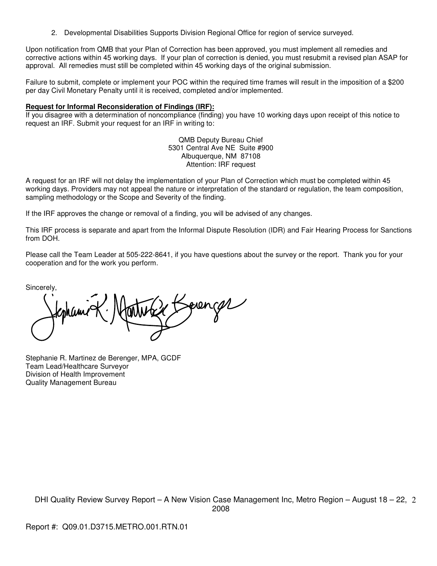2. Developmental Disabilities Supports Division Regional Office for region of service surveyed.

Upon notification from QMB that your Plan of Correction has been approved, you must implement all remedies and corrective actions within 45 working days. If your plan of correction is denied, you must resubmit a revised plan ASAP for approval. All remedies must still be completed within 45 working days of the original submission.

Failure to submit, complete or implement your POC within the required time frames will result in the imposition of a \$200 per day Civil Monetary Penalty until it is received, completed and/or implemented.

#### **Request for Informal Reconsideration of Findings (IRF):**

If you disagree with a determination of noncompliance (finding) you have 10 working days upon receipt of this notice to request an IRF. Submit your request for an IRF in writing to:

> QMB Deputy Bureau Chief 5301 Central Ave NE Suite #900 Albuquerque, NM 87108 Attention: IRF request

A request for an IRF will not delay the implementation of your Plan of Correction which must be completed within 45 working days. Providers may not appeal the nature or interpretation of the standard or regulation, the team composition, sampling methodology or the Scope and Severity of the finding.

If the IRF approves the change or removal of a finding, you will be advised of any changes.

This IRF process is separate and apart from the Informal Dispute Resolution (IDR) and Fair Hearing Process for Sanctions from DOH.

Please call the Team Leader at 505-222-8641, if you have questions about the survey or the report. Thank you for your cooperation and for the work you perform.

Sincerely,

oven gr

Stephanie R. Martinez de Berenger, MPA, GCDF Team Lead/Healthcare Surveyor Division of Health Improvement Quality Management Bureau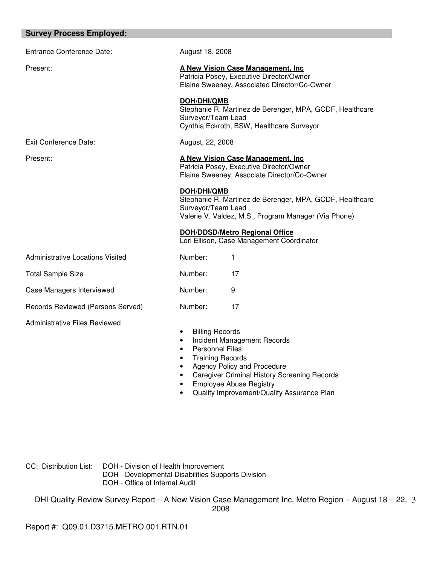| <b>Survey Process Employed:</b>         |                                                                                                                                                             |  |
|-----------------------------------------|-------------------------------------------------------------------------------------------------------------------------------------------------------------|--|
| <b>Entrance Conference Date:</b>        | August 18, 2008                                                                                                                                             |  |
| Present:                                | A New Vision Case Management. Inc.<br>Patricia Posey, Executive Director/Owner<br>Elaine Sweeney, Associated Director/Co-Owner                              |  |
|                                         | DOH/DHI/QMB<br>Stephanie R. Martinez de Berenger, MPA, GCDF, Healthcare<br>Surveyor/Team Lead<br>Cynthia Eckroth, BSW, Healthcare Surveyor                  |  |
| <b>Exit Conference Date:</b>            | August, 22, 2008                                                                                                                                            |  |
| Present:                                | A New Vision Case Management. Inc.<br>Patricia Posey, Executive Director/Owner<br>Elaine Sweeney, Associate Director/Co-Owner                               |  |
|                                         | DOH/DHI/QMB<br>Stephanie R. Martinez de Berenger, MPA, GCDF, Healthcare<br>Surveyor/Team Lead<br>Valerie V. Valdez, M.S., Program Manager (Via Phone)       |  |
|                                         | <b>DOH/DDSD/Metro Regional Office</b><br>Lori Ellison, Case Management Coordinator                                                                          |  |
| <b>Administrative Locations Visited</b> | Number:<br>1                                                                                                                                                |  |
| <b>Total Sample Size</b>                | Number:<br>17                                                                                                                                               |  |
| Case Managers Interviewed               | Number:<br>9                                                                                                                                                |  |
| Records Reviewed (Persons Served)       | Number:<br>17                                                                                                                                               |  |
| <b>Administrative Files Reviewed</b>    | <b>Billing Records</b><br>Incident Management Records<br>٠<br><b>Personnel Files</b><br><b>Training Records</b><br>Agency Policy and Procedure<br>$\bullet$ |  |

- Caregiver Criminal History Screening Records
- Employee Abuse Registry
- Quality Improvement/Quality Assurance Plan

CC: Distribution List: DOH - Division of Health Improvement

- DOH Developmental Disabilities Supports Division
- DOH Office of Internal Audit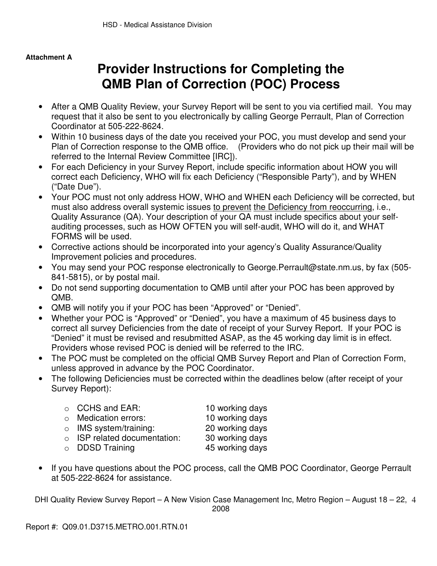# **Attachment A**

# **Provider Instructions for Completing the QMB Plan of Correction (POC) Process**

- After a QMB Quality Review, your Survey Report will be sent to you via certified mail. You may request that it also be sent to you electronically by calling George Perrault, Plan of Correction Coordinator at 505-222-8624.
- Within 10 business days of the date you received your POC, you must develop and send your Plan of Correction response to the QMB office. (Providers who do not pick up their mail will be referred to the Internal Review Committee [IRC]).
- For each Deficiency in your Survey Report, include specific information about HOW you will correct each Deficiency, WHO will fix each Deficiency ("Responsible Party"), and by WHEN ("Date Due").
- Your POC must not only address HOW, WHO and WHEN each Deficiency will be corrected, but must also address overall systemic issues to prevent the Deficiency from reoccurring, i.e., Quality Assurance (QA). Your description of your QA must include specifics about your selfauditing processes, such as HOW OFTEN you will self-audit, WHO will do it, and WHAT FORMS will be used.
- Corrective actions should be incorporated into your agency's Quality Assurance/Quality Improvement policies and procedures.
- You may send your POC response electronically to George.Perrault@state.nm.us, by fax (505- 841-5815), or by postal mail.
- Do not send supporting documentation to QMB until after your POC has been approved by QMB.
- QMB will notify you if your POC has been "Approved" or "Denied".
- Whether your POC is "Approved" or "Denied", you have a maximum of 45 business days to correct all survey Deficiencies from the date of receipt of your Survey Report. If your POC is "Denied" it must be revised and resubmitted ASAP, as the 45 working day limit is in effect. Providers whose revised POC is denied will be referred to the IRC.
- The POC must be completed on the official QMB Survey Report and Plan of Correction Form, unless approved in advance by the POC Coordinator.
- The following Deficiencies must be corrected within the deadlines below (after receipt of your Survey Report):

| $\circ$ CCHS and EAR:              | 10 working days |
|------------------------------------|-----------------|
| $\circ$ Medication errors:         | 10 working days |
| $\circ$ IMS system/training:       | 20 working days |
| $\circ$ ISP related documentation: | 30 working days |
| $\circ$ DDSD Training              | 45 working days |

• If you have questions about the POC process, call the QMB POC Coordinator, George Perrault at 505-222-8624 for assistance.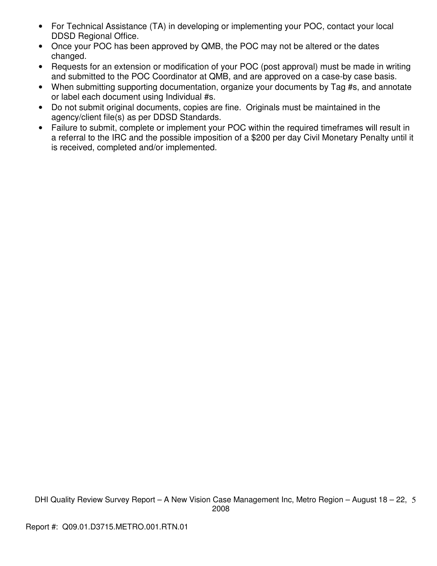- For Technical Assistance (TA) in developing or implementing your POC, contact your local DDSD Regional Office.
- Once your POC has been approved by QMB, the POC may not be altered or the dates changed.
- Requests for an extension or modification of your POC (post approval) must be made in writing and submitted to the POC Coordinator at QMB, and are approved on a case-by case basis.
- When submitting supporting documentation, organize your documents by Tag #s, and annotate or label each document using Individual #s.
- Do not submit original documents, copies are fine. Originals must be maintained in the agency/client file(s) as per DDSD Standards.
- Failure to submit, complete or implement your POC within the required timeframes will result in a referral to the IRC and the possible imposition of a \$200 per day Civil Monetary Penalty until it is received, completed and/or implemented.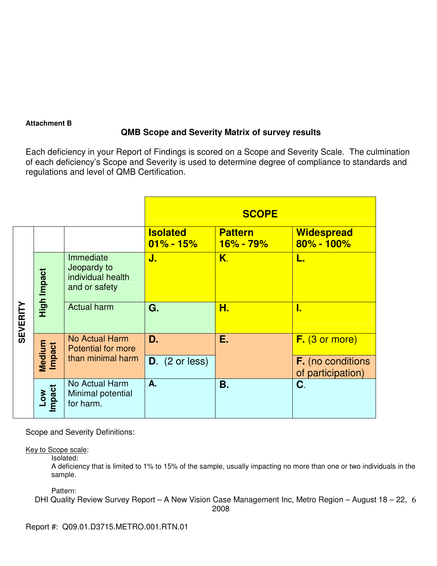# **Attachment B**

# **QMB Scope and Severity Matrix of survey results**

Each deficiency in your Report of Findings is scored on a Scope and Severity Scale. The culmination of each deficiency's Scope and Severity is used to determine degree of compliance to standards and regulations and level of QMB Certification.

|                 |                      |                                                                |                                  | <b>SCOPE</b>                    |                                               |
|-----------------|----------------------|----------------------------------------------------------------|----------------------------------|---------------------------------|-----------------------------------------------|
|                 |                      |                                                                | <b>Isolated</b><br>$01\% - 15\%$ | <b>Pattern</b><br>$16\% - 79\%$ | <b>Widespread</b><br>80% - 100%               |
|                 | High Impact          | Immediate<br>Jeopardy to<br>individual health<br>and or safety | J.                               | K.                              | L.                                            |
| <b>SEVERITY</b> |                      | <b>Actual harm</b>                                             | G.                               | Н.                              | D                                             |
|                 |                      | <b>No Actual Harm</b><br><b>Potential for more</b>             | D.                               | Ε.                              | $F.$ (3 or more)                              |
|                 | Medium<br>Impact     | than minimal harm                                              | $D.$ (2 or less)                 |                                 | <b>F.</b> (no conditions<br>of participation) |
|                 | <b>Impact</b><br>Low | No Actual Harm<br>Minimal potential<br>for harm.               | A.                               | <b>B.</b>                       | C.                                            |

Scope and Severity Definitions:

Key to Scope scale:

Isolated:

A deficiency that is limited to 1% to 15% of the sample, usually impacting no more than one or two individuals in the sample.

Pattern: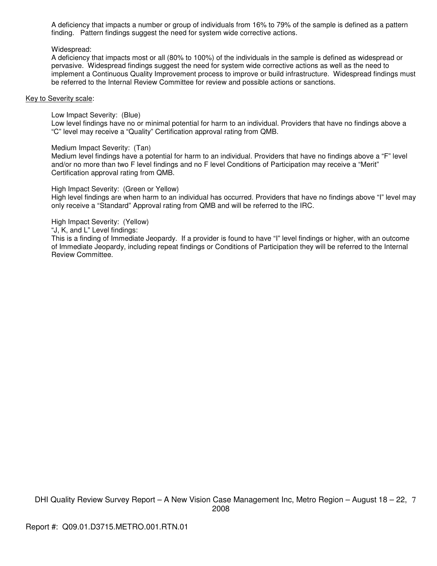A deficiency that impacts a number or group of individuals from 16% to 79% of the sample is defined as a pattern finding. Pattern findings suggest the need for system wide corrective actions.

#### Widespread:

A deficiency that impacts most or all (80% to 100%) of the individuals in the sample is defined as widespread or pervasive. Widespread findings suggest the need for system wide corrective actions as well as the need to implement a Continuous Quality Improvement process to improve or build infrastructure. Widespread findings must be referred to the Internal Review Committee for review and possible actions or sanctions.

#### Key to Severity scale:

Low Impact Severity: (Blue)

Low level findings have no or minimal potential for harm to an individual. Providers that have no findings above a "C" level may receive a "Quality" Certification approval rating from QMB.

Medium Impact Severity: (Tan)

Medium level findings have a potential for harm to an individual. Providers that have no findings above a "F" level and/or no more than two F level findings and no F level Conditions of Participation may receive a "Merit" Certification approval rating from QMB.

High Impact Severity: (Green or Yellow)

High level findings are when harm to an individual has occurred. Providers that have no findings above "I" level may only receive a "Standard" Approval rating from QMB and will be referred to the IRC.

High Impact Severity: (Yellow)

"J, K, and L" Level findings:

This is a finding of Immediate Jeopardy. If a provider is found to have "I" level findings or higher, with an outcome of Immediate Jeopardy, including repeat findings or Conditions of Participation they will be referred to the Internal Review Committee.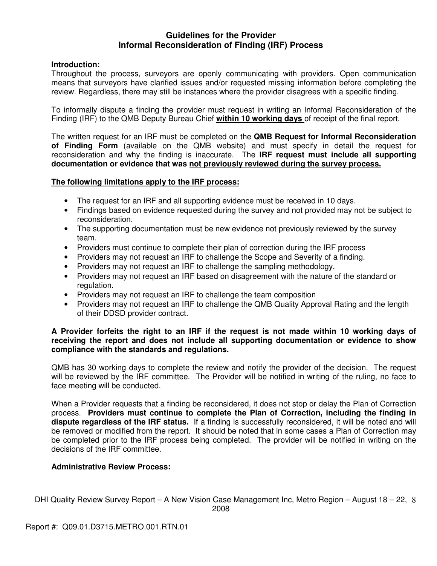# **Guidelines for the Provider Informal Reconsideration of Finding (IRF) Process**

## **Introduction:**

Throughout the process, surveyors are openly communicating with providers. Open communication means that surveyors have clarified issues and/or requested missing information before completing the review. Regardless, there may still be instances where the provider disagrees with a specific finding.

To informally dispute a finding the provider must request in writing an Informal Reconsideration of the Finding (IRF) to the QMB Deputy Bureau Chief **within 10 working days** of receipt of the final report.

The written request for an IRF must be completed on the **QMB Request for Informal Reconsideration of Finding Form** (available on the QMB website) and must specify in detail the request for reconsideration and why the finding is inaccurate. The **IRF request must include all supporting documentation or evidence that was not previously reviewed during the survey process.** 

## **The following limitations apply to the IRF process:**

- The request for an IRF and all supporting evidence must be received in 10 days.
- Findings based on evidence requested during the survey and not provided may not be subject to reconsideration.
- The supporting documentation must be new evidence not previously reviewed by the survey team.
- Providers must continue to complete their plan of correction during the IRF process
- Providers may not request an IRF to challenge the Scope and Severity of a finding.
- Providers may not request an IRF to challenge the sampling methodology.
- Providers may not request an IRF based on disagreement with the nature of the standard or regulation.
- Providers may not request an IRF to challenge the team composition
- Providers may not request an IRF to challenge the QMB Quality Approval Rating and the length of their DDSD provider contract.

## **A Provider forfeits the right to an IRF if the request is not made within 10 working days of receiving the report and does not include all supporting documentation or evidence to show compliance with the standards and regulations.**

QMB has 30 working days to complete the review and notify the provider of the decision. The request will be reviewed by the IRF committee. The Provider will be notified in writing of the ruling, no face to face meeting will be conducted.

When a Provider requests that a finding be reconsidered, it does not stop or delay the Plan of Correction process. **Providers must continue to complete the Plan of Correction, including the finding in dispute regardless of the IRF status.** If a finding is successfully reconsidered, it will be noted and will be removed or modified from the report. It should be noted that in some cases a Plan of Correction may be completed prior to the IRF process being completed. The provider will be notified in writing on the decisions of the IRF committee.

# **Administrative Review Process:**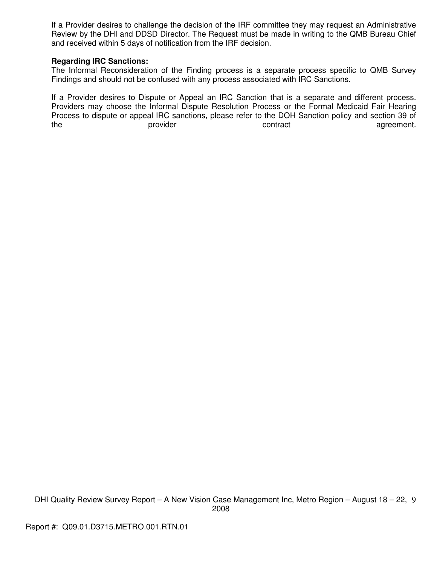If a Provider desires to challenge the decision of the IRF committee they may request an Administrative Review by the DHI and DDSD Director. The Request must be made in writing to the QMB Bureau Chief and received within 5 days of notification from the IRF decision.

## **Regarding IRC Sanctions:**

The Informal Reconsideration of the Finding process is a separate process specific to QMB Survey Findings and should not be confused with any process associated with IRC Sanctions.

If a Provider desires to Dispute or Appeal an IRC Sanction that is a separate and different process. Providers may choose the Informal Dispute Resolution Process or the Formal Medicaid Fair Hearing Process to dispute or appeal IRC sanctions, please refer to the DOH Sanction policy and section 39 of the **provider** contract contract agreement.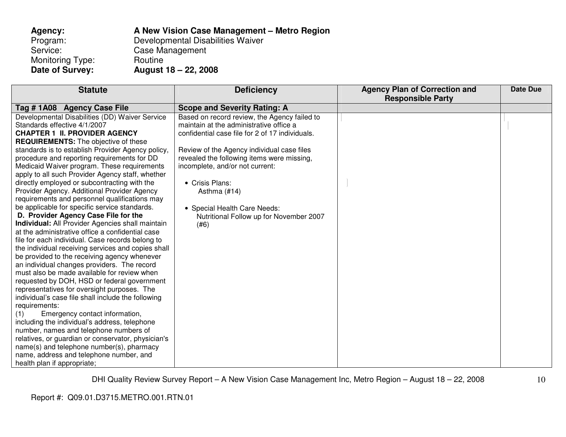| Agency:          | A New Vision Case Management - Metro Region |
|------------------|---------------------------------------------|
| Program:         | Developmental Disabilities Waiver           |
| Service:         | Case Management                             |
| Monitoring Type: | Routine                                     |
| Date of Survey:  | August 18 – 22, 2008                        |

| <b>Statute</b>                                          | <b>Deficiency</b>                               | <b>Agency Plan of Correction and</b><br><b>Responsible Party</b> | <b>Date Due</b> |
|---------------------------------------------------------|-------------------------------------------------|------------------------------------------------------------------|-----------------|
| Tag # 1A08 Agency Case File                             | <b>Scope and Severity Rating: A</b>             |                                                                  |                 |
| Developmental Disabilities (DD) Waiver Service          | Based on record review, the Agency failed to    |                                                                  |                 |
| Standards effective 4/1/2007                            | maintain at the administrative office a         |                                                                  |                 |
| <b>CHAPTER 1 II. PROVIDER AGENCY</b>                    | confidential case file for 2 of 17 individuals. |                                                                  |                 |
| <b>REQUIREMENTS:</b> The objective of these             |                                                 |                                                                  |                 |
| standards is to establish Provider Agency policy,       | Review of the Agency individual case files      |                                                                  |                 |
| procedure and reporting requirements for DD             | revealed the following items were missing,      |                                                                  |                 |
| Medicaid Waiver program. These requirements             | incomplete, and/or not current:                 |                                                                  |                 |
| apply to all such Provider Agency staff, whether        |                                                 |                                                                  |                 |
| directly employed or subcontracting with the            | • Crisis Plans:                                 |                                                                  |                 |
| Provider Agency. Additional Provider Agency             | Asthma (#14)                                    |                                                                  |                 |
| requirements and personnel qualifications may           |                                                 |                                                                  |                 |
| be applicable for specific service standards.           | • Special Health Care Needs:                    |                                                                  |                 |
| D. Provider Agency Case File for the                    | Nutritional Follow up for November 2007         |                                                                  |                 |
| <b>Individual:</b> All Provider Agencies shall maintain | (#6)                                            |                                                                  |                 |
| at the administrative office a confidential case        |                                                 |                                                                  |                 |
| file for each individual. Case records belong to        |                                                 |                                                                  |                 |
| the individual receiving services and copies shall      |                                                 |                                                                  |                 |
| be provided to the receiving agency whenever            |                                                 |                                                                  |                 |
| an individual changes providers. The record             |                                                 |                                                                  |                 |
| must also be made available for review when             |                                                 |                                                                  |                 |
| requested by DOH, HSD or federal government             |                                                 |                                                                  |                 |
| representatives for oversight purposes. The             |                                                 |                                                                  |                 |
| individual's case file shall include the following      |                                                 |                                                                  |                 |
| requirements:                                           |                                                 |                                                                  |                 |
| Emergency contact information,<br>(1)                   |                                                 |                                                                  |                 |
| including the individual's address, telephone           |                                                 |                                                                  |                 |
| number, names and telephone numbers of                  |                                                 |                                                                  |                 |
| relatives, or guardian or conservator, physician's      |                                                 |                                                                  |                 |
| name(s) and telephone number(s), pharmacy               |                                                 |                                                                  |                 |
| name, address and telephone number, and                 |                                                 |                                                                  |                 |
| health plan if appropriate;                             |                                                 |                                                                  |                 |

DHI Quality Review Survey Report – A New Vision Case Management Inc, Metro Region – August 18 – 22, 2008

10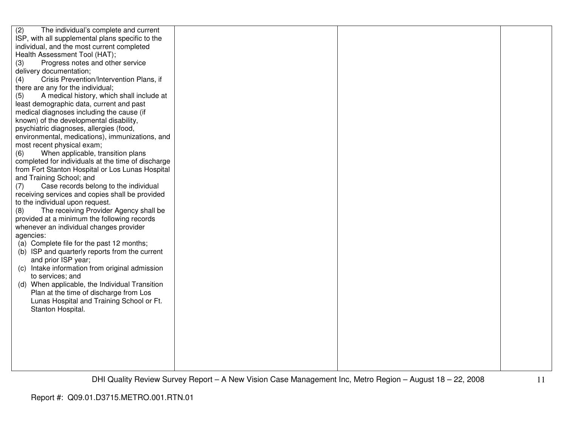| (2)<br>The individual's complete and current       |  |  |
|----------------------------------------------------|--|--|
| ISP, with all supplemental plans specific to the   |  |  |
| individual, and the most current completed         |  |  |
| Health Assessment Tool (HAT);                      |  |  |
| (3)<br>Progress notes and other service            |  |  |
| delivery documentation;                            |  |  |
| Crisis Prevention/Intervention Plans, if<br>(4)    |  |  |
| there are any for the individual;                  |  |  |
| A medical history, which shall include at<br>(5)   |  |  |
| least demographic data, current and past           |  |  |
| medical diagnoses including the cause (if          |  |  |
| known) of the developmental disability,            |  |  |
| psychiatric diagnoses, allergies (food,            |  |  |
| environmental, medications), immunizations, and    |  |  |
| most recent physical exam;                         |  |  |
| When applicable, transition plans<br>(6)           |  |  |
| completed for individuals at the time of discharge |  |  |
| from Fort Stanton Hospital or Los Lunas Hospital   |  |  |
| and Training School; and                           |  |  |
| Case records belong to the individual<br>(7)       |  |  |
| receiving services and copies shall be provided    |  |  |
| to the individual upon request.                    |  |  |
| The receiving Provider Agency shall be<br>(8)      |  |  |
| provided at a minimum the following records        |  |  |
| whenever an individual changes provider            |  |  |
| agencies:                                          |  |  |
| (a) Complete file for the past 12 months;          |  |  |
| (b) ISP and quarterly reports from the current     |  |  |
| and prior ISP year;                                |  |  |
| (c) Intake information from original admission     |  |  |
| to services; and                                   |  |  |
| (d) When applicable, the Individual Transition     |  |  |
| Plan at the time of discharge from Los             |  |  |
| Lunas Hospital and Training School or Ft.          |  |  |
| Stanton Hospital.                                  |  |  |
|                                                    |  |  |
|                                                    |  |  |
|                                                    |  |  |
|                                                    |  |  |
|                                                    |  |  |
|                                                    |  |  |
|                                                    |  |  |
|                                                    |  |  |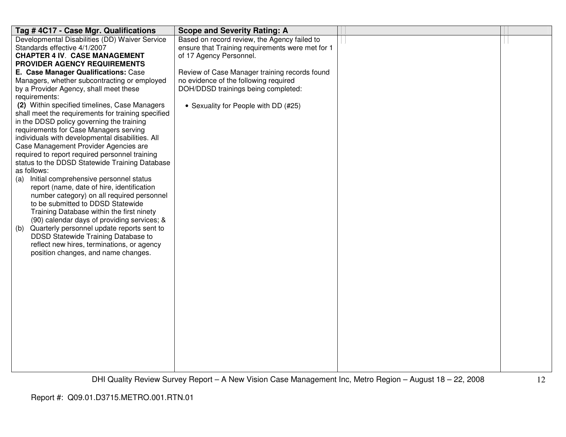| Tag #4C17 - Case Mgr. Qualifications                                                       | <b>Scope and Severity Rating: A</b>              |  |
|--------------------------------------------------------------------------------------------|--------------------------------------------------|--|
| Developmental Disabilities (DD) Waiver Service                                             | Based on record review, the Agency failed to     |  |
| Standards effective 4/1/2007                                                               | ensure that Training requirements were met for 1 |  |
| <b>CHAPTER 4 IV. CASE MANAGEMENT</b>                                                       | of 17 Agency Personnel.                          |  |
| <b>PROVIDER AGENCY REQUIREMENTS</b>                                                        |                                                  |  |
| E. Case Manager Qualifications: Case                                                       | Review of Case Manager training records found    |  |
| Managers, whether subcontracting or employed                                               | no evidence of the following required            |  |
| by a Provider Agency, shall meet these                                                     | DOH/DDSD trainings being completed:              |  |
| requirements:                                                                              |                                                  |  |
| (2) Within specified timelines, Case Managers                                              | • Sexuality for People with DD (#25)             |  |
| shall meet the requirements for training specified                                         |                                                  |  |
| in the DDSD policy governing the training                                                  |                                                  |  |
| requirements for Case Managers serving<br>individuals with developmental disabilities. All |                                                  |  |
| Case Management Provider Agencies are                                                      |                                                  |  |
| required to report required personnel training                                             |                                                  |  |
| status to the DDSD Statewide Training Database                                             |                                                  |  |
| as follows:                                                                                |                                                  |  |
| Initial comprehensive personnel status<br>(a)                                              |                                                  |  |
| report (name, date of hire, identification                                                 |                                                  |  |
| number category) on all required personnel                                                 |                                                  |  |
| to be submitted to DDSD Statewide                                                          |                                                  |  |
| Training Database within the first ninety                                                  |                                                  |  |
| (90) calendar days of providing services; &                                                |                                                  |  |
| Quarterly personnel update reports sent to<br>(b)                                          |                                                  |  |
| DDSD Statewide Training Database to                                                        |                                                  |  |
| reflect new hires, terminations, or agency                                                 |                                                  |  |
| position changes, and name changes.                                                        |                                                  |  |
|                                                                                            |                                                  |  |
|                                                                                            |                                                  |  |
|                                                                                            |                                                  |  |
|                                                                                            |                                                  |  |
|                                                                                            |                                                  |  |
|                                                                                            |                                                  |  |
|                                                                                            |                                                  |  |
|                                                                                            |                                                  |  |
|                                                                                            |                                                  |  |
|                                                                                            |                                                  |  |
|                                                                                            |                                                  |  |
|                                                                                            |                                                  |  |
|                                                                                            |                                                  |  |